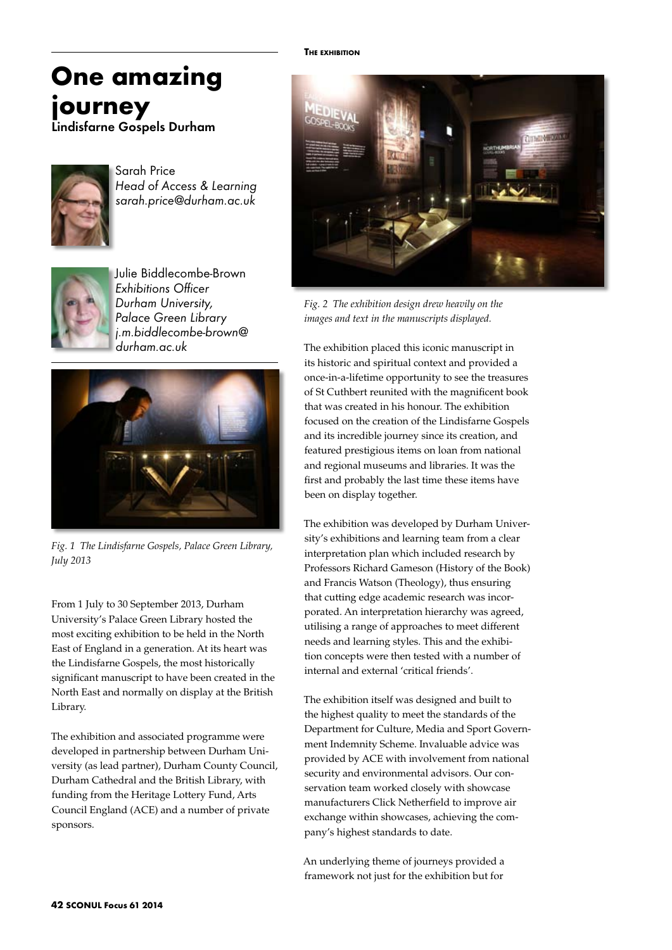### **The exhibition**

# **One amazing journey**

Lindisfarne Gospels Durham



Sarah Price *Head of Access & Learning sarah.price@durham.ac.uk*



Julie Biddlecombe-Brown *Exhibitions Officer Durham University, Palace Green Library j.m.biddlecombe-brown@ durham.ac.uk* 



*Fig. 1 The Lindisfarne Gospels, Palace Green Library, July 2013*

From 1 July to 30 September 2013, Durham University's Palace Green Library hosted the most exciting exhibition to be held in the North East of England in a generation. At its heart was the Lindisfarne Gospels, the most historically significant manuscript to have been created in the North East and normally on display at the British Library.

The exhibition and associated programme were developed in partnership between Durham University (as lead partner), Durham County Council, Durham Cathedral and the British Library, with funding from the Heritage Lottery Fund, Arts Council England (ACE) and a number of private sponsors.



*Fig. 2 The exhibition design drew heavily on the images and text in the manuscripts displayed.*

The exhibition placed this iconic manuscript in its historic and spiritual context and provided a once-in-a-lifetime opportunity to see the treasures of St Cuthbert reunited with the magnificent book that was created in his honour. The exhibition focused on the creation of the Lindisfarne Gospels and its incredible journey since its creation, and featured prestigious items on loan from national and regional museums and libraries. It was the first and probably the last time these items have been on display together.

The exhibition was developed by Durham University's exhibitions and learning team from a clear interpretation plan which included research by Professors Richard Gameson (History of the Book) and Francis Watson (Theology), thus ensuring that cutting edge academic research was incorporated. An interpretation hierarchy was agreed, utilising a range of approaches to meet different needs and learning styles. This and the exhibition concepts were then tested with a number of internal and external 'critical friends'.

The exhibition itself was designed and built to the highest quality to meet the standards of the Department for Culture, Media and Sport Government Indemnity Scheme. Invaluable advice was provided by ACE with involvement from national security and environmental advisors. Our conservation team worked closely with showcase manufacturers Click Netherfield to improve air exchange within showcases, achieving the company's highest standards to date.

An underlying theme of journeys provided a framework not just for the exhibition but for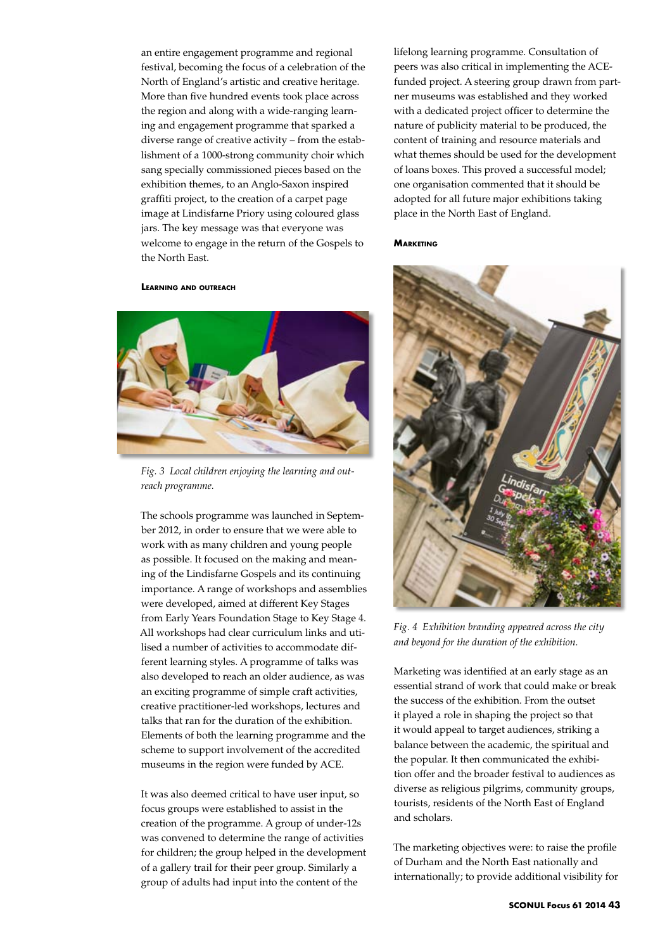an entire engagement programme and regional festival, becoming the focus of a celebration of the North of England's artistic and creative heritage. More than five hundred events took place across the region and along with a wide-ranging learning and engagement programme that sparked a diverse range of creative activity – from the establishment of a 1000-strong community choir which sang specially commissioned pieces based on the exhibition themes, to an Anglo-Saxon inspired graffiti project, to the creation of a carpet page image at Lindisfarne Priory using coloured glass jars. The key message was that everyone was welcome to engage in the return of the Gospels to the North East.

### **Learning and outreach**



*Fig. 3 Local children enjoying the learning and outreach programme.*

The schools programme was launched in September 2012, in order to ensure that we were able to work with as many children and young people as possible. It focused on the making and meaning of the Lindisfarne Gospels and its continuing importance. A range of workshops and assemblies were developed, aimed at different Key Stages from Early Years Foundation Stage to Key Stage 4. All workshops had clear curriculum links and utilised a number of activities to accommodate different learning styles. A programme of talks was also developed to reach an older audience, as was an exciting programme of simple craft activities, creative practitioner-led workshops, lectures and talks that ran for the duration of the exhibition. Elements of both the learning programme and the scheme to support involvement of the accredited museums in the region were funded by ACE.

It was also deemed critical to have user input, so focus groups were established to assist in the creation of the programme. A group of under-12s was convened to determine the range of activities for children; the group helped in the development of a gallery trail for their peer group. Similarly a group of adults had input into the content of the

lifelong learning programme. Consultation of peers was also critical in implementing the ACEfunded project. A steering group drawn from partner museums was established and they worked with a dedicated project officer to determine the nature of publicity material to be produced, the content of training and resource materials and what themes should be used for the development of loans boxes. This proved a successful model; one organisation commented that it should be adopted for all future major exhibitions taking place in the North East of England.

### **Marketing**



*Fig. 4 Exhibition branding appeared across the city and beyond for the duration of the exhibition.*

Marketing was identified at an early stage as an essential strand of work that could make or break the success of the exhibition. From the outset it played a role in shaping the project so that it would appeal to target audiences, striking a balance between the academic, the spiritual and the popular. It then communicated the exhibition offer and the broader festival to audiences as diverse as religious pilgrims, community groups, tourists, residents of the North East of England and scholars.

The marketing objectives were: to raise the profile of Durham and the North East nationally and internationally; to provide additional visibility for